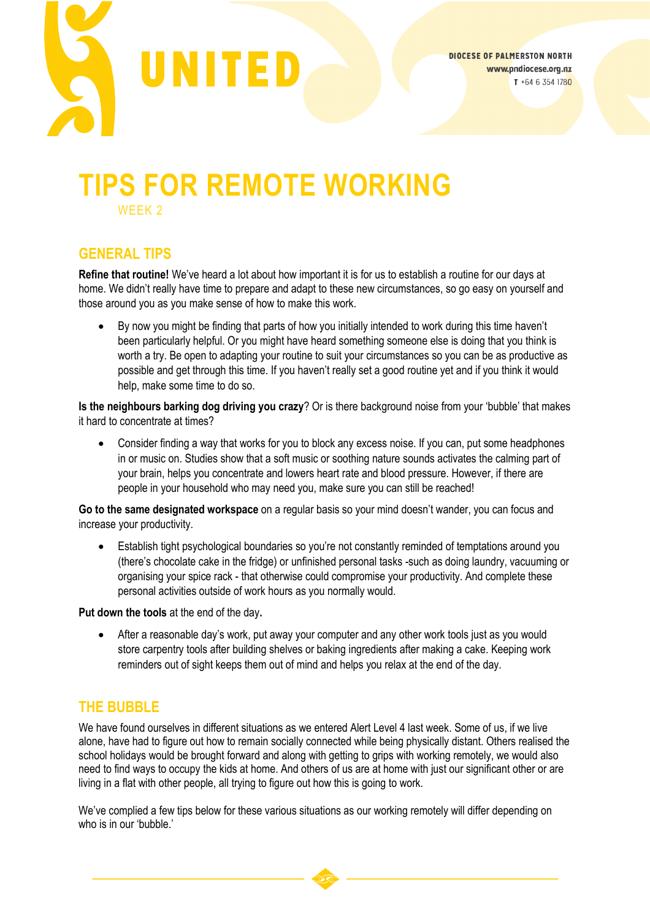

# **TIPS FOR REMOTE WORKING**

WEEK 2

## **GENERAL TIPS**

**Refine that routine!** We've heard a lot about how important it is for us to establish a routine for our days at home. We didn't really have time to prepare and adapt to these new circumstances, so go easy on yourself and those around you as you make sense of how to make this work.

• By now you might be finding that parts of how you initially intended to work during this time haven't been particularly helpful. Or you might have heard something someone else is doing that you think is worth a try. Be open to adapting your routine to suit your circumstances so you can be as productive as possible and get through this time. If you haven't really set a good routine yet and if you think it would help, make some time to do so.

**Is the neighbours barking dog driving you crazy**? Or is there background noise from your 'bubble' that makes it hard to concentrate at times?

• Consider finding a way that works for you to block any excess noise. If you can, put some headphones in or music on. Studies show that a soft music or soothing nature sounds activates the calming part of your brain, helps you concentrate and lowers heart rate and blood pressure. However, if there are people in your household who may need you, make sure you can still be reached!

**Go to the same designated workspace** on a regular basis so your mind doesn't wander, you can focus and increase your productivity.

• Establish tight psychological boundaries so you're not constantly reminded of temptations around you (there's chocolate cake in the fridge) or unfinished personal tasks -such as doing laundry, vacuuming or organising your spice rack - that otherwise could compromise your productivity. And complete these personal activities outside of work hours as you normally would.

**Put down the tools** at the end of the day**.** 

• After a reasonable day's work, put away your computer and any other work tools just as you would store carpentry tools after building shelves or baking ingredients after making a cake. Keeping work reminders out of sight keeps them out of mind and helps you relax at the end of the day.

### **THE BUBBLE**

We have found ourselves in different situations as we entered Alert Level 4 last week. Some of us, if we live alone, have had to figure out how to remain socially connected while being physically distant. Others realised the school holidays would be brought forward and along with getting to grips with working remotely, we would also need to find ways to occupy the kids at home. And others of us are at home with just our significant other or are living in a flat with other people, all trying to figure out how this is going to work.

We've complied a few tips below for these various situations as our working remotely will differ depending on who is in our 'bubble.'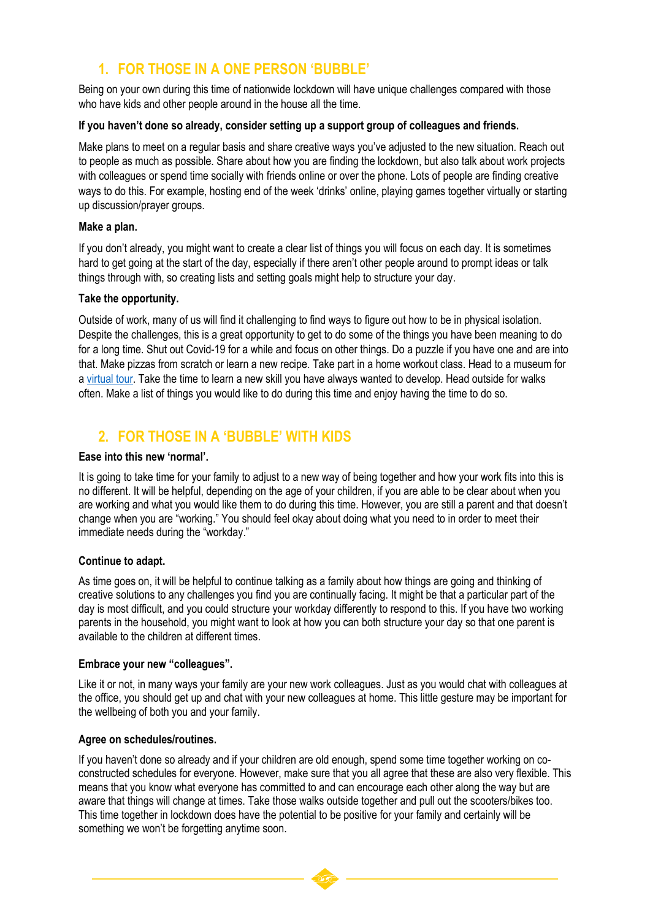# **1. FOR THOSE IN A ONE PERSON 'BUBBLE'**

Being on your own during this time of nationwide lockdown will have unique challenges compared with those who have kids and other people around in the house all the time.

#### **If you haven't done so already, consider setting up a support group of colleagues and friends.**

Make plans to meet on a regular basis and share creative ways you've adjusted to the new situation. Reach out to people as much as possible. Share about how you are finding the lockdown, but also talk about work projects with colleagues or spend time socially with friends online or over the phone. Lots of people are finding creative ways to do this. For example, hosting end of the week 'drinks' online, playing games together virtually or starting up discussion/prayer groups.

#### **Make a plan.**

If you don't already, you might want to create a clear list of things you will focus on each day. It is sometimes hard to get going at the start of the day, especially if there aren't other people around to prompt ideas or talk things through with, so creating lists and setting goals might help to structure your day.

#### **Take the opportunity.**

Outside of work, many of us will find it challenging to find ways to figure out how to be in physical isolation. Despite the challenges, this is a great opportunity to get to do some of the things you have been meaning to do for a long time. Shut out Covid-19 for a while and focus on other things. Do a puzzle if you have one and are into that. Make pizzas from scratch or learn a new recipe. Take part in a home workout class. Head to a museum for [a virtual tour.](https://www.travelandleisure.com/attractions/museums-galleries/museums-with-virtual-tours) Take the time to learn a new skill you have always wanted to develop. Head outside for walks often. Make a list of things you would like to do during this time and enjoy having the time to do so.

## **2. FOR THOSE IN A 'BUBBLE' WITH KIDS**

#### **Ease into this new 'normal'.**

It is going to take time for your family to adjust to a new way of being together and how your work fits into this is no different. It will be helpful, depending on the age of your children, if you are able to be clear about when you are working and what you would like them to do during this time. However, you are still a parent and that doesn't change when you are "working." You should feel okay about doing what you need to in order to meet their immediate needs during the "workday."

#### **Continue to adapt.**

As time goes on, it will be helpful to continue talking as a family about how things are going and thinking of creative solutions to any challenges you find you are continually facing. It might be that a particular part of the day is most difficult, and you could structure your workday differently to respond to this. If you have two working parents in the household, you might want to look at how you can both structure your day so that one parent is available to the children at different times.

#### **Embrace your new "colleagues".**

Like it or not, in many ways your family are your new work colleagues. Just as you would chat with colleagues at the office, you should get up and chat with your new colleagues at home. This little gesture may be important for the wellbeing of both you and your family.

#### **Agree on schedules/routines.**

If you haven't done so already and if your children are old enough, spend some time together working on coconstructed schedules for everyone. However, make sure that you all agree that these are also very flexible. This means that you know what everyone has committed to and can encourage each other along the way but are aware that things will change at times. Take those walks outside together and pull out the scooters/bikes too. This time together in lockdown does have the potential to be positive for your family and certainly will be something we won't be forgetting anytime soon.